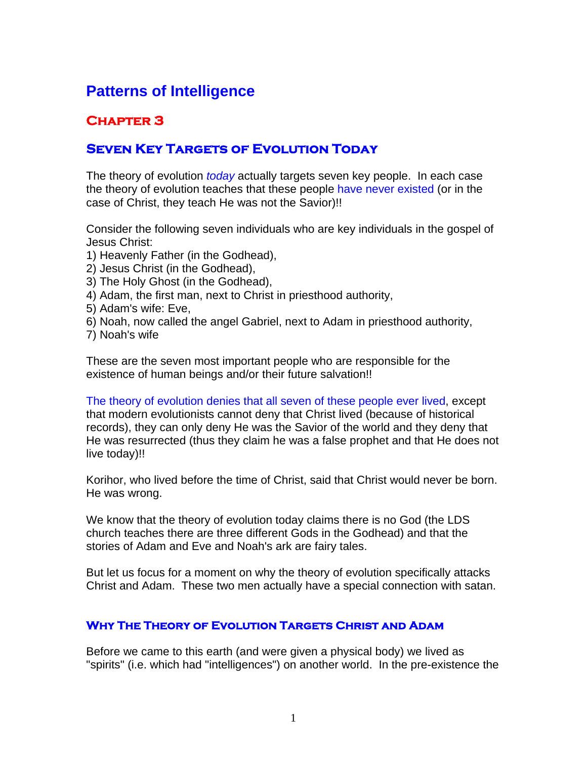## **Patterns of Intelligence**

## **Chapter 3**

## **Seven Key Targets of Evolution Today**

The theory of evolution *today* actually targets seven key people. In each case the theory of evolution teaches that these people have never existed (or in the case of Christ, they teach He was not the Savior)!!

Consider the following seven individuals who are key individuals in the gospel of Jesus Christ:

- 1) Heavenly Father (in the Godhead),
- 2) Jesus Christ (in the Godhead),
- 3) The Holy Ghost (in the Godhead),
- 4) Adam, the first man, next to Christ in priesthood authority,
- 5) Adam's wife: Eve,
- 6) Noah, now called the angel Gabriel, next to Adam in priesthood authority,
- 7) Noah's wife

These are the seven most important people who are responsible for the existence of human beings and/or their future salvation!!

The theory of evolution denies that all seven of these people ever lived, except that modern evolutionists cannot deny that Christ lived (because of historical records), they can only deny He was the Savior of the world and they deny that He was resurrected (thus they claim he was a false prophet and that He does not live today)!!

Korihor, who lived before the time of Christ, said that Christ would never be born. He was wrong.

We know that the theory of evolution today claims there is no God (the LDS church teaches there are three different Gods in the Godhead) and that the stories of Adam and Eve and Noah's ark are fairy tales.

But let us focus for a moment on why the theory of evolution specifically attacks Christ and Adam. These two men actually have a special connection with satan.

## **Why The Theory of Evolution Targets Christ and Adam**

Before we came to this earth (and were given a physical body) we lived as "spirits" (i.e. which had "intelligences") on another world. In the pre-existence the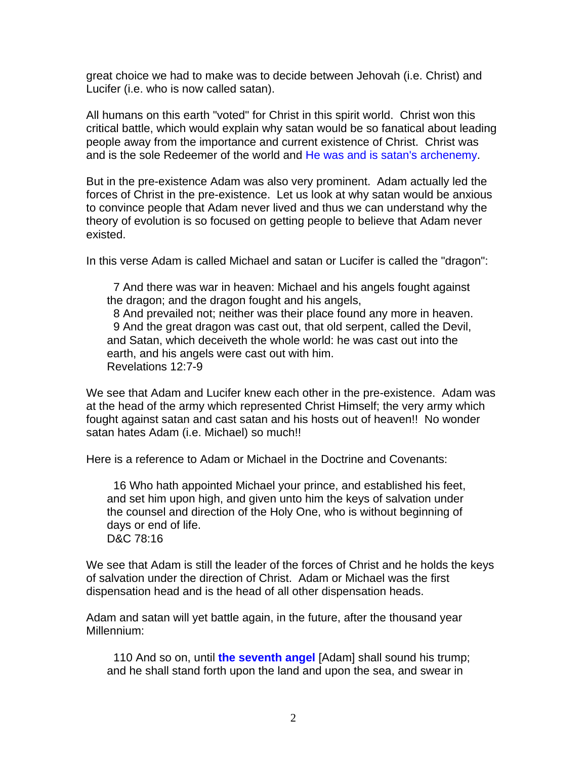great choice we had to make was to decide between Jehovah (i.e. Christ) and Lucifer (i.e. who is now called satan).

All humans on this earth "voted" for Christ in this spirit world. Christ won this critical battle, which would explain why satan would be so fanatical about leading people away from the importance and current existence of Christ. Christ was and is the sole Redeemer of the world and He was and is satan's archenemy.

But in the pre-existence Adam was also very prominent. Adam actually led the forces of Christ in the pre-existence. Let us look at why satan would be anxious to convince people that Adam never lived and thus we can understand why the theory of evolution is so focused on getting people to believe that Adam never existed.

In this verse Adam is called Michael and satan or Lucifer is called the "dragon":

 7 And there was war in heaven: Michael and his angels fought against the dragon; and the dragon fought and his angels,

 8 And prevailed not; neither was their place found any more in heaven. 9 And the great dragon was cast out, that old serpent, called the Devil, and Satan, which deceiveth the whole world: he was cast out into the earth, and his angels were cast out with him. Revelations 12:7-9

We see that Adam and Lucifer knew each other in the pre-existence. Adam was at the head of the army which represented Christ Himself; the very army which fought against satan and cast satan and his hosts out of heaven!! No wonder satan hates Adam (i.e. Michael) so much!!

Here is a reference to Adam or Michael in the Doctrine and Covenants:

 16 Who hath appointed Michael your prince, and established his feet, and set him upon high, and given unto him the keys of salvation under the counsel and direction of the Holy One, who is without beginning of days or end of life. D&C 78:16

We see that Adam is still the leader of the forces of Christ and he holds the keys of salvation under the direction of Christ. Adam or Michael was the first dispensation head and is the head of all other dispensation heads.

Adam and satan will yet battle again, in the future, after the thousand year Millennium:

 110 And so on, until **the seventh angel** [Adam] shall sound his trump; and he shall stand forth upon the land and upon the sea, and swear in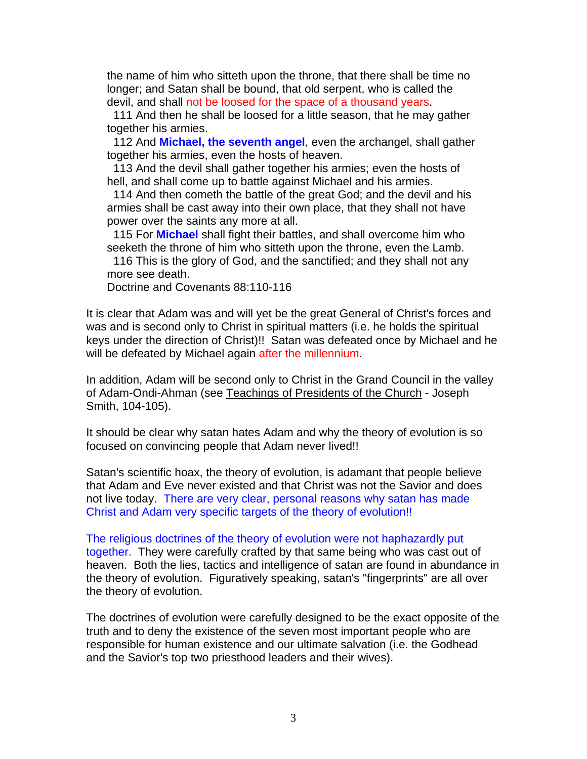the name of him who sitteth upon the throne, that there shall be time no longer; and Satan shall be bound, that old serpent, who is called the devil, and shall not be loosed for the space of a thousand years.

 111 And then he shall be loosed for a little season, that he may gather together his armies.

 112 And **Michael, the seventh angel**, even the archangel, shall gather together his armies, even the hosts of heaven.

 113 And the devil shall gather together his armies; even the hosts of hell, and shall come up to battle against Michael and his armies.

 114 And then cometh the battle of the great God; and the devil and his armies shall be cast away into their own place, that they shall not have power over the saints any more at all.

 115 For **Michael** shall fight their battles, and shall overcome him who seeketh the throne of him who sitteth upon the throne, even the Lamb.

 116 This is the glory of God, and the sanctified; and they shall not any more see death.

Doctrine and Covenants 88:110-116

It is clear that Adam was and will yet be the great General of Christ's forces and was and is second only to Christ in spiritual matters (i.e. he holds the spiritual keys under the direction of Christ)!! Satan was defeated once by Michael and he will be defeated by Michael again after the millennium.

In addition, Adam will be second only to Christ in the Grand Council in the valley of Adam-Ondi-Ahman (see Teachings of Presidents of the Church - Joseph Smith, 104-105).

It should be clear why satan hates Adam and why the theory of evolution is so focused on convincing people that Adam never lived!!

Satan's scientific hoax, the theory of evolution, is adamant that people believe that Adam and Eve never existed and that Christ was not the Savior and does not live today. There are very clear, personal reasons why satan has made Christ and Adam very specific targets of the theory of evolution!!

The religious doctrines of the theory of evolution were not haphazardly put together. They were carefully crafted by that same being who was cast out of heaven. Both the lies, tactics and intelligence of satan are found in abundance in the theory of evolution. Figuratively speaking, satan's "fingerprints" are all over the theory of evolution.

The doctrines of evolution were carefully designed to be the exact opposite of the truth and to deny the existence of the seven most important people who are responsible for human existence and our ultimate salvation (i.e. the Godhead and the Savior's top two priesthood leaders and their wives).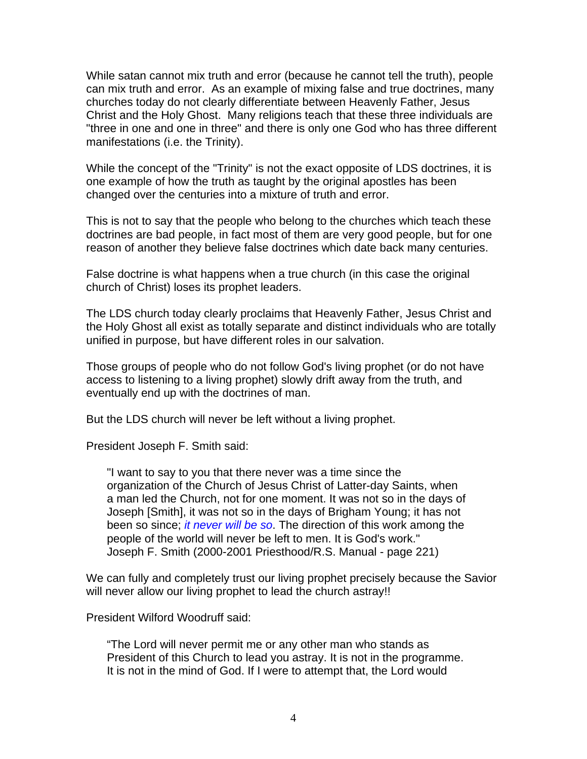While satan cannot mix truth and error (because he cannot tell the truth), people can mix truth and error. As an example of mixing false and true doctrines, many churches today do not clearly differentiate between Heavenly Father, Jesus Christ and the Holy Ghost. Many religions teach that these three individuals are "three in one and one in three" and there is only one God who has three different manifestations (i.e. the Trinity).

While the concept of the "Trinity" is not the exact opposite of LDS doctrines, it is one example of how the truth as taught by the original apostles has been changed over the centuries into a mixture of truth and error.

This is not to say that the people who belong to the churches which teach these doctrines are bad people, in fact most of them are very good people, but for one reason of another they believe false doctrines which date back many centuries.

False doctrine is what happens when a true church (in this case the original church of Christ) loses its prophet leaders.

The LDS church today clearly proclaims that Heavenly Father, Jesus Christ and the Holy Ghost all exist as totally separate and distinct individuals who are totally unified in purpose, but have different roles in our salvation.

Those groups of people who do not follow God's living prophet (or do not have access to listening to a living prophet) slowly drift away from the truth, and eventually end up with the doctrines of man.

But the LDS church will never be left without a living prophet.

President Joseph F. Smith said:

"I want to say to you that there never was a time since the organization of the Church of Jesus Christ of Latter-day Saints, when a man led the Church, not for one moment. It was not so in the days of Joseph [Smith], it was not so in the days of Brigham Young; it has not been so since; *it never will be so*. The direction of this work among the people of the world will never be left to men. It is God's work." Joseph F. Smith (2000-2001 Priesthood/R.S. Manual - page 221)

We can fully and completely trust our living prophet precisely because the Savior will never allow our living prophet to lead the church astray!!

President Wilford Woodruff said:

"The Lord will never permit me or any other man who stands as President of this Church to lead you astray. It is not in the programme. It is not in the mind of God. If I were to attempt that, the Lord would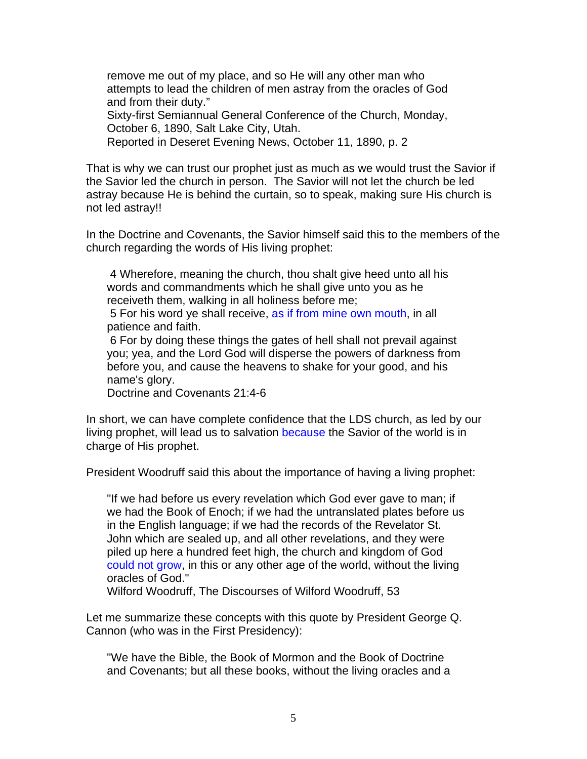remove me out of my place, and so He will any other man who attempts to lead the children of men astray from the oracles of God and from their duty."

Sixty-first Semiannual General Conference of the Church, Monday, October 6, 1890, Salt Lake City, Utah.

Reported in Deseret Evening News, October 11, 1890, p. 2

That is why we can trust our prophet just as much as we would trust the Savior if the Savior led the church in person. The Savior will not let the church be led astray because He is behind the curtain, so to speak, making sure His church is not led astray!!

In the Doctrine and Covenants, the Savior himself said this to the members of the church regarding the words of His living prophet:

 4 Wherefore, meaning the church, thou shalt give heed unto all his words and commandments which he shall give unto you as he receiveth them, walking in all holiness before me;

 5 For his word ye shall receive, as if from mine own mouth, in all patience and faith.

 6 For by doing these things the gates of hell shall not prevail against you; yea, and the Lord God will disperse the powers of darkness from before you, and cause the heavens to shake for your good, and his name's glory.

Doctrine and Covenants 21:4-6

In short, we can have complete confidence that the LDS church, as led by our living prophet, will lead us to salvation because the Savior of the world is in charge of His prophet.

President Woodruff said this about the importance of having a living prophet:

"If we had before us every revelation which God ever gave to man; if we had the Book of Enoch; if we had the untranslated plates before us in the English language; if we had the records of the Revelator St. John which are sealed up, and all other revelations, and they were piled up here a hundred feet high, the church and kingdom of God could not grow, in this or any other age of the world, without the living oracles of God."

Wilford Woodruff, The Discourses of Wilford Woodruff, 53

Let me summarize these concepts with this quote by President George Q. Cannon (who was in the First Presidency):

"We have the Bible, the Book of Mormon and the Book of Doctrine and Covenants; but all these books, without the living oracles and a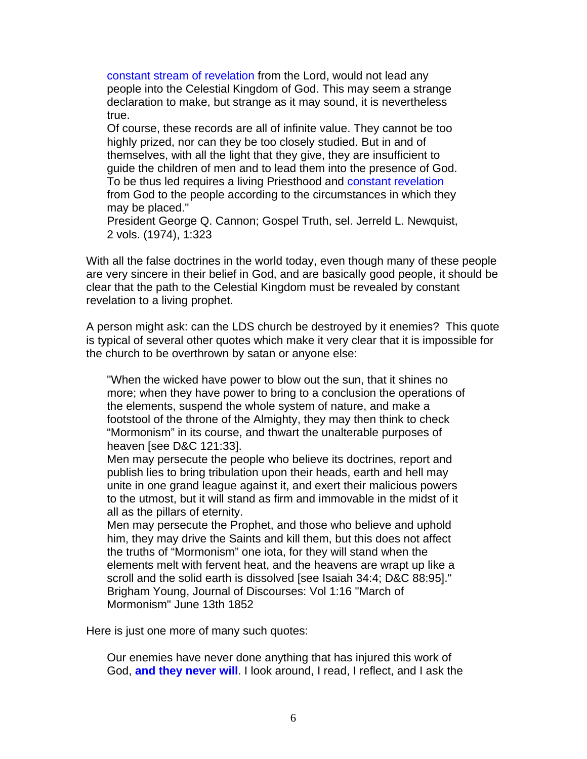constant stream of revelation from the Lord, would not lead any people into the Celestial Kingdom of God. This may seem a strange declaration to make, but strange as it may sound, it is nevertheless true.

Of course, these records are all of infinite value. They cannot be too highly prized, nor can they be too closely studied. But in and of themselves, with all the light that they give, they are insufficient to guide the children of men and to lead them into the presence of God. To be thus led requires a living Priesthood and constant revelation from God to the people according to the circumstances in which they may be placed."

President George Q. Cannon; Gospel Truth, sel. Jerreld L. Newquist, 2 vols. (1974), 1:323

With all the false doctrines in the world today, even though many of these people are very sincere in their belief in God, and are basically good people, it should be clear that the path to the Celestial Kingdom must be revealed by constant revelation to a living prophet.

A person might ask: can the LDS church be destroyed by it enemies? This quote is typical of several other quotes which make it very clear that it is impossible for the church to be overthrown by satan or anyone else:

"When the wicked have power to blow out the sun, that it shines no more; when they have power to bring to a conclusion the operations of the elements, suspend the whole system of nature, and make a footstool of the throne of the Almighty, they may then think to check "Mormonism" in its course, and thwart the unalterable purposes of heaven [see D&C 121:33].

Men may persecute the people who believe its doctrines, report and publish lies to bring tribulation upon their heads, earth and hell may unite in one grand league against it, and exert their malicious powers to the utmost, but it will stand as firm and immovable in the midst of it all as the pillars of eternity.

Men may persecute the Prophet, and those who believe and uphold him, they may drive the Saints and kill them, but this does not affect the truths of "Mormonism" one iota, for they will stand when the elements melt with fervent heat, and the heavens are wrapt up like a scroll and the solid earth is dissolved [see Isaiah 34:4; D&C 88:95]." Brigham Young, Journal of Discourses: Vol 1:16 "March of Mormonism" June 13th 1852

Here is just one more of many such quotes:

Our enemies have never done anything that has injured this work of God, **and they never will**. I look around, I read, I reflect, and I ask the